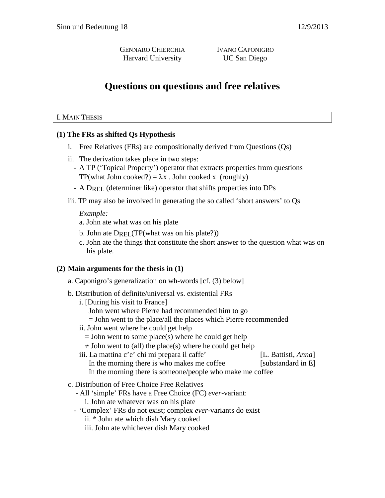GENNARO CHIERCHIA IVANO CAPONIGRO Harvard University UC San Diego

# **Questions on questions and free relatives**

#### I. MAIN THESIS

#### **(1) The FRs as shifted Qs Hypothesis**

- i. Free Relatives (FRs) are compositionally derived from Questions (Qs)
- ii. The derivation takes place in two steps:
	- A TP ('Topical Property') operator that extracts properties from questions TP(what John cooked?) =  $\lambda$ x . John cooked x (roughly)
	- A DREL (determiner like) operator that shifts properties into DPs
- iii. TP may also be involved in generating the so called 'short answers' to Qs

#### *Example:*

- a. John ate what was on his plate
- b. John ate  $D_{\text{REI}}$  (TP(what was on his plate?))
- c. John ate the things that constitute the short answer to the question what was on his plate.

#### **(2) Main arguments for the thesis in (1)**

- a. Caponigro's generalization on wh-words [cf. (3) below]
- b. Distribution of definite/universal vs. existential FRs
	- i. [During his visit to France]
		- John went where Pierre had recommended him to go
		- = John went to the place/all the places which Pierre recommended
	- ii. John went where he could get help
		- $=$  John went to some place(s) where he could get help
		- $\neq$  John went to (all) the place(s) where he could get help
	- iii. La mattina c'e' chi mi prepara il caffe' [L. Battisti, *Anna*] In the morning there is who makes me coffee [substandard in E] In the morning there is someone/people who make me coffee
- c. Distribution of Free Choice Free Relatives
	- All 'simple' FRs have a Free Choice (FC) *ever*-variant: i. John ate whatever was on his plate
	- 'Complex' FRs do not exist; complex *ever*-variants do exist
		- ii. \* John ate which dish Mary cooked
		- iii. John ate whichever dish Mary cooked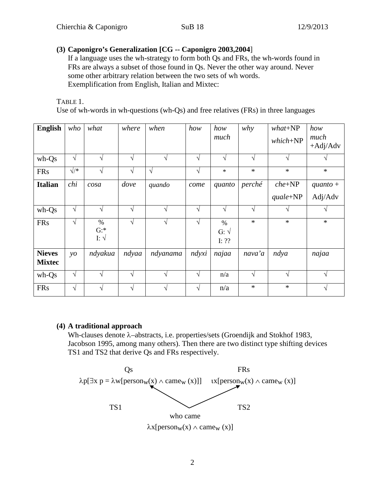## **(3) Caponigro's Generalization [CG -- Caponigro 2003,2004**]

If a language uses the wh-strategy to form both Qs and FRs, the wh-words found in FRs are always a subset of those found in Qs. Never the other way around. Never some other arbitrary relation between the two sets of wh words. Exemplification from English, Italian and Mixtec:

TABLE 1.

Use of wh-words in wh-questions (wh-Qs) and free relatives (FRs) in three languages

| <b>English</b>                 | who           | what                            | where      | when       | how        | how<br>much                   | why        | $what+NP$<br>$which + NP$ | how<br>much<br>$+Adj/Adv$ |
|--------------------------------|---------------|---------------------------------|------------|------------|------------|-------------------------------|------------|---------------------------|---------------------------|
| wh-Qs                          | $\sqrt{}$     | V                               | $\sqrt{ }$ | V          | $\sqrt{ }$ | $\sqrt{}$                     | V          |                           |                           |
| <b>FRs</b>                     | $\sqrt{*}$    | V                               | $\sqrt{ }$ | $\sqrt{ }$ | $\sqrt{}$  | $\ast$                        | $\ast$     | $\ast$                    | $\ast$                    |
| <b>Italian</b>                 | chi           | cosa                            | dove       | quando     | come       | quanto                        | perché     | $che + NP$                | $quanto +$                |
|                                |               |                                 |            |            |            |                               |            | $quale + NP$              | Adj/Adv                   |
| wh-Qs                          | $\sqrt{ }$    | $\sqrt{ }$                      | $\sqrt{ }$ | $\sqrt{ }$ | $\sqrt{ }$ | $\sqrt{ }$                    | $\sqrt{ }$ |                           | $\sqrt{ }$                |
| <b>FRs</b>                     | $\sqrt{}$     | $\%$<br>$G:$ *<br>I: $\sqrt{ }$ | $\sqrt{ }$ | V          | $\sqrt{}$  | $\%$<br>$G: \sqrt$<br>I: $??$ | $\ast$     | $\ast$                    | $\ast$                    |
| <b>Nieves</b><br><b>Mixtec</b> | $\mathcal{Y}$ | ndyakua                         | ndyaa      | ndyanama   | ndyxi      | najaa                         | nava'a     | ndya                      | najaa                     |
| wh-Qs                          | $\sqrt{}$     | $\sqrt{ }$                      | $\sqrt{ }$ | $\sqrt{ }$ | $\sqrt{ }$ | n/a                           | $\sqrt{ }$ | V                         | V                         |
| <b>FRs</b>                     | $\sqrt{}$     | V                               | $\sqrt{ }$ | V          | $\sqrt{}$  | n/a                           | $\ast$     | $\ast$                    | $\sqrt{ }$                |

#### **(4) A traditional approach**

Wh-clauses denote λ–abstracts, i.e. properties/sets (Groendijk and Stokhof 1983, Jacobson 1995, among many others). Then there are two distinct type shifting devices TS1 and TS2 that derive Qs and FRs respectively.

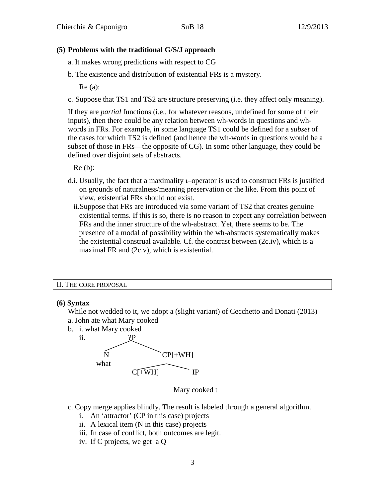#### **(5) Problems with the traditional G/S/J approach**

- a. It makes wrong predictions with respect to CG
- b. The existence and distribution of existential FRs is a mystery.

Re (a):

c. Suppose that TS1 and TS2 are structure preserving (i.e. they affect only meaning).

If they are *partial* functions (i.e., for whatever reasons, undefined for some of their inputs), then there could be any relation between wh-words in questions and whwords in FRs. For example, in some language TS1 could be defined for a *subset* of the cases for which TS2 is defined (and hence the wh-words in questions would be a subset of those in FRs—the opposite of CG). In some other language, they could be defined over disjoint sets of abstracts.

Re (b):

- d.i. Usually, the fact that a maximality ι–operator is used to construct FRs is justified on grounds of naturalness/meaning preservation or the like. From this point of view, existential FRs should not exist.
	- ii.Suppose that FRs are introduced via some variant of TS2 that creates genuine existential terms. If this is so, there is no reason to expect any correlation between FRs and the inner structure of the wh-abstract. Yet, there seems to be. The presence of a modal of possibility within the wh-abstracts systematically makes the existential construal available. Cf. the contrast between (2c.iv), which is a maximal FR and (2c.v), which is existential.

#### II. THE CORE PROPOSAL

#### **(6) Syntax**

While not wedded to it, we adopt a (slight variant) of Cecchetto and Donati (2013) a. John ate what Mary cooked

b. i. what Mary cooked



- c. Copy merge applies blindly. The result is labeled through a general algorithm.
	- i. An 'attractor' (CP in this case) projects
	- ii. A lexical item (N in this case) projects
	- iii. In case of conflict, both outcomes are legit.
	- iv. If C projects, we get a Q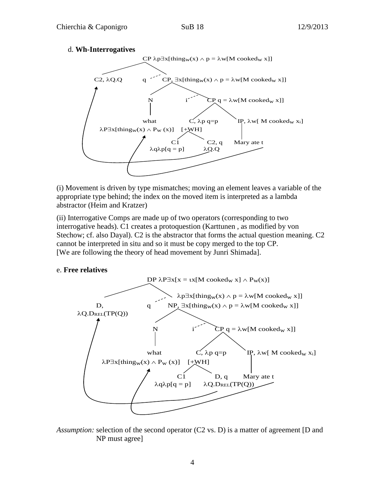#### d. **Wh-Interrogatives**



(i) Movement is driven by type mismatches; moving an element leaves a variable of the appropriate type behind; the index on the moved item is interpreted as a lambda abstractor (Heim and Kratzer)

(ii) Interrogative Comps are made up of two operators (corresponding to two interrogative heads). C1 creates a protoquestion (Karttunen , as modified by von Stechow; cf. also Dayal). C2 is the abstractor that forms the actual question meaning. C2 cannot be interpreted in situ and so it must be copy merged to the top CP. [We are following the theory of head movement by Junri Shimada].

#### e. **Free relatives**



*Assumption:* selection of the second operator (C2 vs. D) is a matter of agreement [D and NP must agree]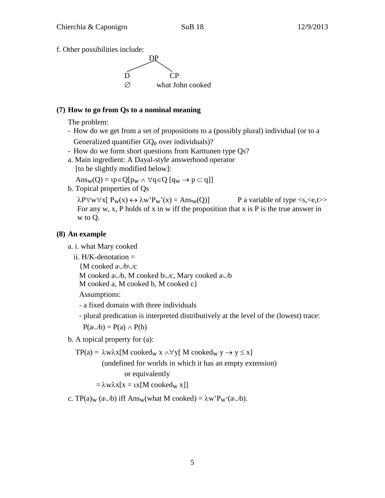f. Other possibilities include:



#### **(7) How to go from Qs to a nominal meaning**

The problem:

- How do we get from a set of propositions to a (possibly plural) individual (or to a Generalized quantifier GQe over individuals)?
- How do we form short questions from Karttunen type Qs?
- a. Main ingredient: A Dayal-style answerhood operator [to be slightly modified below]:

 $\text{Ans}_{\text{W}}(Q) = \text{tp} \in Q[p_{\text{W}} \land \forall q \in Q[q_{\text{W}} \rightarrow p \subset q]]$ 

b. Topical properties of Qs

 $\lambda P \forall w \forall x [ P_w(x) \leftrightarrow \lambda w' P_w'(x) = Ans_w(Q)]$  P a variable of type <s, <e,t>> For any w, x, P holds of x in w iff the proposition that x is P is the true answer in w to Q.

## **(8) An example**

- a. i. what Mary cooked
	- ii.  $H/K$ -denotation  $=$

{M cooked a∪b∪c

M cooked a∪b, M cooked b∪c, Mary cooked a∪b

M cooked a, M cooked b, M cooked c}

Assumptions:

- a fixed domain with three individuals
- plural predication is interpreted distributively at the level of the (lowest) trace:  $P(a \cup b) = P(a) \wedge P(b)$
- b. A topical property for (a):

$$
TP(a) = \lambda w \lambda x [M \operatorname{cooked}_W x \wedge \forall y [M \operatorname{cooked}_W y \to y \le x]
$$

(undefined for worlds in which it has an empty extension) or equivalently

 $=\lambda w \lambda x[x = \iota x[M \text{ coded}_w x]]$ 

c. TP(a)<sub>w</sub> (a∪b) iff Ans<sub>w</sub>(what M cooked) =  $\lambda w'P_w(a \cup b)$ .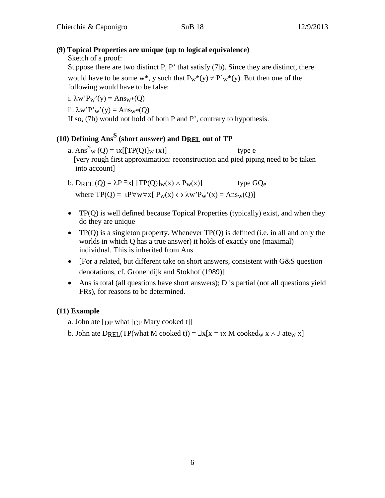# **(9) Topical Properties are unique (up to logical equivalence)**

Sketch of a proof:

Suppose there are two distinct P, P' that satisfy (7b). Since they are distinct, there would have to be some w<sup>\*</sup>, y such that  $P_w^*(y) \neq P_w^*(y)$ . But then one of the following would have to be false:

i.  $\lambda w' P_w'(y) = \text{Ans}_w*(0)$ 

ii.  $\lambda w'P'w'(y) = Ans_w*(Q)$ 

If so, (7b) would not hold of both P and P', contrary to hypothesis.

# **(10) Defining Ans<sup>S</sup> (short answer) and DREL out of TP**

- a.  $Ans^S_w(Q) = \iota x[[TP(Q)]_w(x)]$  type e [very rough first approximation: reconstruction and pied piping need to be taken into account]
- b. DREL  $(Q) = \lambda P \exists x [ T P(Q)]_W(x) \wedge P_W(x) ]$  type  $GQ_e$ where  $TP(Q) = \mathbf{i}P \forall w \forall x [ P_w(x) \leftrightarrow \lambda w' P_w'(x) = \text{Ans}_w(Q)]$
- TP(Q) is well defined because Topical Properties (typically) exist, and when they do they are unique
- TP(Q) is a singleton property. Whenever  $TP(Q)$  is defined (i.e. in all and only the worlds in which Q has a true answer) it holds of exactly one (maximal) individual. This is inherited from Ans.
- [For a related, but different take on short answers, consistent with G&S question denotations, cf. Gronendijk and Stokhof (1989)]
- Ans is total (all questions have short answers); D is partial (not all questions yield FRs), for reasons to be determined.

# **(11) Example**

a. John ate  $[p]$  what  $[CP$  Mary cooked t

b. John ate DREL(TP(what M cooked t)) =  $\exists x[x = \iota x \text{ M} \text{ cooked}_w x \land J \text{ at} \varepsilon_w x]$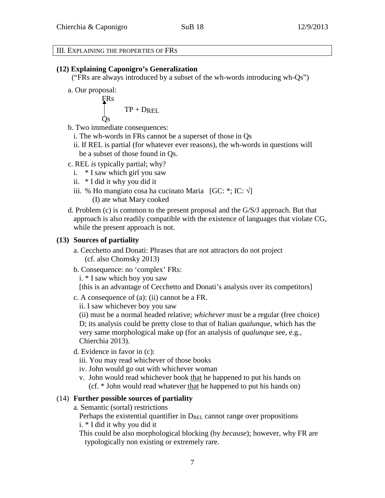#### III. EXPLAINING THE PROPERTIES OF FRS

#### **(12) Explaining Caponigro's Generalization**

("FRs are always introduced by a subset of the wh-words introducing wh-Qs")

a. Our proposal:

$$
\begin{cases}\n\text{FRs} \\
\text{TP} + \text{DREL} \\
\text{Qs}\n\end{cases}
$$

b. Two immediate consequences:

- i. The wh-words in FRs cannot be a superset of those in Qs
- ii. If REL is partial (for whatever ever reasons), the wh-words in questions will be a subset of those found in Qs.
- c. REL *is* typically partial; why?
	- i. \* I saw which girl you saw
	- ii. \* I did it why you did it
	- iii. % Ho mangiato cosa ha cucinato Maria  $[GC: *, IC; \sqrt{]}$ (I) ate what Mary cooked
- d. Problem (c) is common to the present proposal and the G/S/J approach. But that approach is also readily compatible with the existence of languages that violate CG, while the present approach is not.

#### **(13) Sources of partiality**

- a. Cecchetto and Donati: Phrases that are not attractors do not project (cf. also Chomsky 2013)
- b. Consequence: no 'complex' FRs:
	- i. \* I saw which boy you saw
	- [this is an advantage of Cecchetto and Donati's analysis over its competitors]
- c. A consequence of (a): (ii) cannot be a FR.
	- ii. I saw whichever boy you saw

(ii) must be a normal headed relative; *whichever* must be a regular (free choice) D; its analysis could be pretty close to that of Italian *qualunque*, which has the very same morphological make up (for an analysis of *qualunque* see, e.g., Chierchia 2013).

- d. Evidence in favor in (c):
	- iii. You may read whichever of those books
	- iv. John would go out with whichever woman
	- v. John would read whichever book that he happened to put his hands on (cf. \* John would read whatever that he happened to put his hands on)

#### (14) **Further possible sources of partiality**

a. Semantic (sortal) restrictions

Perhaps the existential quantifier in  $D_{\text{REL}}$  cannot range over propositions i. \* I did it why you did it

This could be also morphological blocking (by *because*); however, why FR are typologically non existing or extremely rare.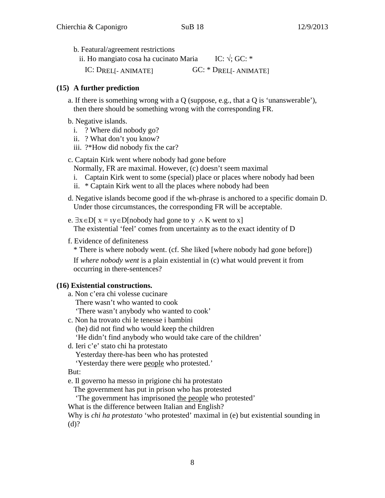b. Featural/agreement restrictions

ii. Ho mangiato cosa ha cucinato Maria IC:  $\sqrt{$ ; GC: \* IC: DREL[- ANIMATE] GC: \* DREL[- ANIMATE]

#### **(15) A further prediction**

- a. If there is something wrong with a Q (suppose, e.g., that a Q is 'unanswerable'), then there should be something wrong with the corresponding FR.
- b. Negative islands.
	- i. ? Where did nobody go?
	- ii. ? What don't you know?
	- iii. ?\*How did nobody fix the car?

c. Captain Kirk went where nobody had gone before

Normally, FR are maximal. However, (c) doesn't seem maximal

- i. Captain Kirk went to some (special) place or places where nobody had been
- ii. \* Captain Kirk went to all the places where nobody had been
- d. Negative islands become good if the wh-phrase is anchored to a specific domain D. Under those circumstances, the corresponding FR will be acceptable.
- e.  $\exists x \in D$ [  $x = y \in D$ [nobody had gone to y  $\land$  K went to x] The existential 'feel' comes from uncertainty as to the exact identity of D
- f. Evidence of definiteness
	- \* There is where nobody went. (cf. She liked [where nobody had gone before])

If *where nobody went* is a plain existential in (c) what would prevent it from occurring in there-sentences?

#### **(16) Existential constructions.**

- a. Non c'era chi volesse cucinare There wasn't who wanted to cook 'There wasn't anybody who wanted to cook'
- c. Non ha trovato chi le tenesse i bambini (he) did not find who would keep the children 'He didn't find anybody who would take care of the children'
- d. Ieri c'e' stato chi ha protestato

Yesterday there-has been who has protested

'Yesterday there were people who protested.'

#### But:

e. Il governo ha messo in prigione chi ha protestato

The government has put in prison who has protested

'The government has imprisoned the people who protested'

What is the difference between Italian and English?

Why is *chi ha protestato* 'who protested' maximal in (e) but existential sounding in (d)?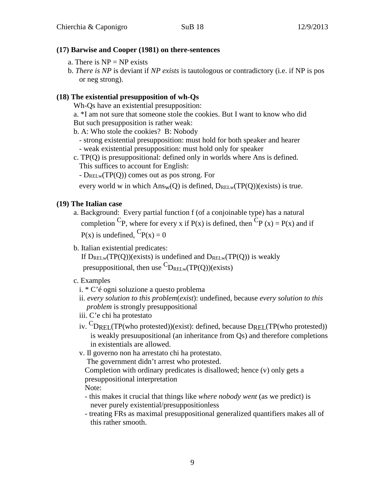#### **(17) Barwise and Cooper (1981) on there-sentences**

- a. There is  $NP = NP$  exists
- b. *There is NP* is deviant if *NP exists* is tautologous or contradictory (i.e. if NP is pos or neg strong).

# **(18) The existential presupposition of wh-Qs**

Wh-Qs have an existential presupposition:

- a. \*I am not sure that someone stole the cookies. But I want to know who did
- But such presupposition is rather weak:
- b. A: Who stole the cookies? B: Nobody
	- strong existential presupposition: must hold for both speaker and hearer - weak existential presupposition: must hold only for speaker
- c. TP(Q) is presuppositional: defined only in worlds where Ans is defined.
	- This suffices to account for English:
	- $-D_{RELw}(TP(Q))$  comes out as pos strong. For

every world w in which  $Ans_w(Q)$  is defined,  $D_{RELw}(TP(Q))$ (exists) is true.

# **(19) The Italian case**

- a. Background: Every partial function f (of a conjoinable type) has a natural completion <sup>C</sup>P, where for every x if P(x) is defined, then <sup>C</sup>P (x) = P(x) and if  $P(x)$  is undefined,  ${}^{C}P(x) = 0$
- b. Italian existential predicates:

If  $D_{RELw}(TP(Q))$ (exists) is undefined and  $D_{RELw}(TP(Q))$  is weakly presuppositional, then use  ${}^C\!D_{\text{RELw}}(TP(Q))$ (exists)

- c. Examples
	- i. \* C'é ogni soluzione a questo problema
	- ii. *every solution to this problem*(*exist*): undefined, because *every solution to this problem* is strongly presuppositional
	- iii. C'e chi ha protestato
	- iv. CDREL(TP(who protested))(exist): defined, because DREL(TP(who protested)) is weakly presuupositional (an inheritance from Qs) and therefore completions in existentials are allowed.
	- v. Il governo non ha arrestato chi ha protestato.

The government didn't arrest who protested.

Completion with ordinary predicates is disallowed; hence (v) only gets a presuppositional interpretation

Note:

- this makes it crucial that things like *where nobody went* (as we predict) is never purely existential/presuppositionless
- treating FRs as maximal presuppositional generalized quantifiers makes all of this rather smooth.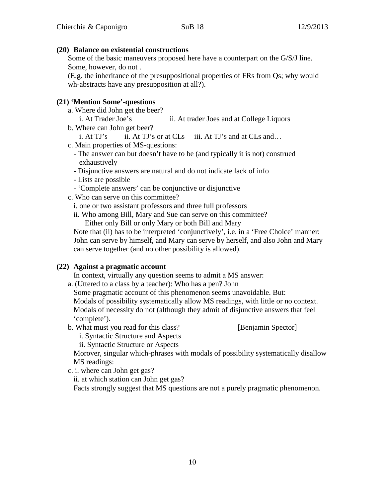#### **(20) Balance on existential constructions**

Some of the basic maneuvers proposed here have a counterpart on the G/S/J line. Some, however, do not .

(E.g. the inheritance of the presuppositional properties of FRs from Qs; why would wh-abstracts have any presupposition at all?).

#### **(21) 'Mention Some'-questions**

- a. Where did John get the beer?
- i. At Trader Joe's ii. At trader Joes and at College Liquors b. Where can John get beer?
	- i. At  $TJ$ 's ii. At  $TJ$ 's or at  $CLs$  iii. At  $TJ$ 's and at  $CLs$  and…
- c. Main properties of MS-questions:
	- The answer can but doesn't have to be (and typically it is not) construed exhaustively
	- Disjunctive answers are natural and do not indicate lack of info
	- Lists are possible
	- 'Complete answers' can be conjunctive or disjunctive
- c. Who can serve on this committee?
	- i. one or two assistant professors and three full professors
	- ii. Who among Bill, Mary and Sue can serve on this committee?

Either only Bill or only Mary or both Bill and Mary

Note that (ii) has to be interpreted 'conjunctively', i.e. in a 'Free Choice' manner: John can serve by himself, and Mary can serve by herself, and also John and Mary can serve together (and no other possibility is allowed).

#### **(22) Against a pragmatic account**

In context, virtually any question seems to admit a MS answer:

a. (Uttered to a class by a teacher): Who has a pen? John

Some pragmatic account of this phenomenon seems unavoidable. But: Modals of possibility systematically allow MS readings, with little or no context. Modals of necessity do not (although they admit of disjunctive answers that feel 'complete').

b. What must you read for this class? [Benjamin Spector]

i. Syntactic Structure and Aspects

ii. Syntactic Structure or Aspects

Morover, singular which-phrases with modals of possibility systematically disallow MS readings:

c. i. where can John get gas?

ii. at which station can John get gas?

Facts strongly suggest that MS questions are not a purely pragmatic phenomenon.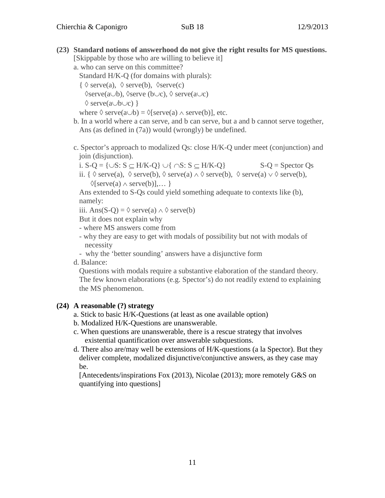**(23) Standard notions of answerhood do not give the right results for MS questions.**

| [Skippable by those who are willing to believe it]                                                                                           |
|----------------------------------------------------------------------------------------------------------------------------------------------|
| a. who can serve on this committee?                                                                                                          |
| Standard H/K-Q (for domains with plurals):                                                                                                   |
| $\{\ \Diamond \,\text{serve}(a), \ \Diamond \,\text{serve}(b), \ \Diamond \,\text{serve}(c)\}$                                               |
| $\Diamond$ serve(a $\cup$ b), $\Diamond$ serve (b $\cup$ c), $\Diamond$ serve(a $\cup$ c)                                                    |
| $\Diamond$ serve(a $\cup$ b $\cup$ c) }                                                                                                      |
| where $\Diamond$ serve(a $\cup$ b) = $\Diamond$ [serve(a) $\land$ serve(b)], etc.                                                            |
| b. In a world where a can serve, and b can serve, but a and b cannot serve together,                                                         |
| Ans (as defined in $(7a)$ ) would (wrongly) be undefined.                                                                                    |
| c. Spector's approach to modalized Qs: close H/K-Q under meet (conjunction) and<br>join (disjunction).                                       |
| i. $S-Q = \{\cup S: S \subset H/K-Q\} \cup \{\cap S: S \subset H/K-Q\}$<br>$S-Q =$ Spector Qs                                                |
| ii. { $\Diamond$ serve(a), $\Diamond$ serve(b), $\Diamond$ serve(a) $\land \Diamond$ serve(b), $\Diamond$ serve(a) $\lor \Diamond$ serve(b), |
| $\Diamond$ [serve(a) $\land$ serve(b)], }                                                                                                    |

Ans extended to S-Qs could yield something adequate to contexts like (b), namely:

iii. Ans(S-Q) =  $\Diamond$  serve(a)  $\land \Diamond$  serve(b)

But it does not explain why

- where MS answers come from
- why they are easy to get with modals of possibility but not with modals of necessity
- why the 'better sounding' answers have a disjunctive form

d. Balance:

Questions with modals require a substantive elaboration of the standard theory. The few known elaborations (e.g. Spector's) do not readily extend to explaining the MS phenomenon.

# **(24) A reasonable (?) strategy**

- a. Stick to basic H/K-Questions (at least as one available option)
- b. Modalized H/K-Questions are unanswerable.
- c. When questions are unanswerable, there is a rescue strategy that involves existential quantification over answerable subquestions.
- d. There also are/may well be extensions of H/K-questions (a la Spector). But they deliver complete, modalized disjunctive/conjunctive answers, as they case may be.

[Antecedents/inspirations Fox (2013), Nicolae (2013); more remotely G&S on quantifying into questions]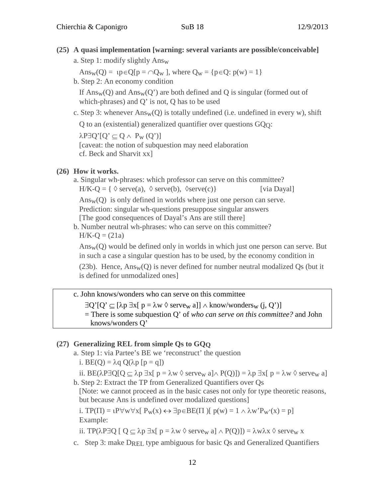# **(25) A quasi implementation [warning: several variants are possible/conceivable]**

a. Step 1: modify slightly Answ

Ans<sub>w</sub>(Q) =  $\iota$ p∈Q[p =  $\cap$ Q<sub>w</sub>], where Q<sub>w</sub> = {p∈Q: p(w) = 1}

b. Step 2: An economy condition

If  $Ans_w(Q)$  and  $Ans_w(Q')$  are both defined and Q is singular (formed out of which-phrases) and Q' is not, Q has to be used

c. Step 3: whenever  $Ans_w(Q)$  is totally undefined (i.e. undefined in every w), shift

Q to an (existential) generalized quantifier over questions GQQ:

 $\lambda$ P $\exists$ Q'[Q'  $\subset$  Q  $\wedge$  P<sub>w</sub> (Q')]

[caveat: the notion of subquestion may need elaboration cf. Beck and Sharvit xx]

## **(26) How it works.**

a. Singular wh-phrases: which professor can serve on this committee?  $H/K-O = \{\ \Diamond \,\text{serve}(a), \ \Diamond \,\text{serve}(b), \ \Diamond \,\text{serve}(c)\}\$  [via Dayal]  $Ans<sub>w</sub>(Q)$  is only defined in worlds where just one person can serve. Prediction: singular wh-questions presuppose singular answers [The good consequences of Dayal's Ans are still there]

b. Number neutral wh-phrases: who can serve on this committee?  $H/K-Q = (21a)$ 

Answ(Q) would be defined only in worlds in which just one person can serve. But in such a case a singular question has to be used, by the economy condition in

(23b). Hence,  $Ans_w(O)$  is never defined for number neutral modalized Os (but it is defined for unmodalized ones]

# c. John knows/wonders who can serve on this committee

∃Q'[Q' ⊆ [λp ∃x[ p = λw ◊ servew a]] ∧ know/wondersw (j, Q')]

= There is some subquestion Q' of *who can serve on this committee?* and John knows/wonders Q'

#### **(27) Generalizing REL from simple Qs to GQQ**

a. Step 1: via Partee's BE we 'reconstruct' the question

i.  $BE(Q) = \lambda q Q(\lambda p [p = q])$ 

ii. BE( $\lambda$ P∃Q[Q  $\subset \lambda$ p ∃x[ p =  $\lambda w \otimes$  serve<sub>w</sub> a] $\wedge$  P(Q)]) =  $\lambda$ p ∃x[ p =  $\lambda w \otimes$  serve<sub>w</sub> a] b. Step 2: Extract the TP from Generalized Quantifiers over Qs

[Note: we cannot proceed as in the basic cases not only for type theoretic reasons, but because Ans is undefined over modalized questions]

i. TP( $\Pi$ ) =  $P \forall w \forall x [ P_w(x) \leftrightarrow \exists p \in BE(\Pi) [ p(w) = 1 \land \lambda w' P_w'(x) = p ]$ Example:

ii. TP( $\lambda$ P∃Q  $\lceil Q \subseteq \lambda p \rceil$   $\exists x \lceil p = \lambda w \land \text{serve}_w$  a $\rceil \land P(Q)$ ]) =  $\lambda w \lambda x \land \text{serve}_w$  x

c. Step 3: make DREL type ambiguous for basic Qs and Generalized Quantifiers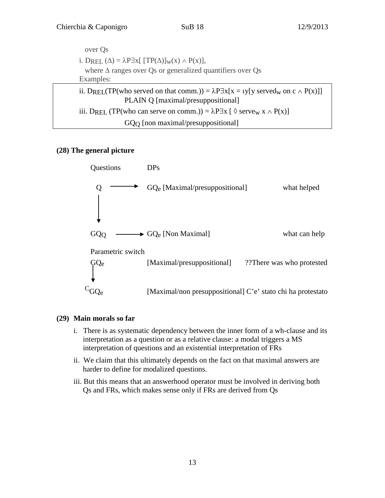| over Os                                                                                                                                                     |
|-------------------------------------------------------------------------------------------------------------------------------------------------------------|
| i. DREL $(\Delta) = \lambda P \exists x [ T P(\Delta)]_W(x) \wedge P(x)$ ,                                                                                  |
| where $\Delta$ ranges over Qs or generalized quantifiers over Qs                                                                                            |
| Examples:                                                                                                                                                   |
| ii. DREL(TP(who served on that comm.)) = $\lambda P \exists x [x = y [y \text{ served}_w \text{ on } c \wedge P(x)]]$<br>PLAIN Q [maximal/presuppositional] |
| iii. DREL (TP(who can serve on comm.)) = $\lambda$ P $\exists$ x [ $\Diamond$ serve <sub>w</sub> x $\land$ P(x)]                                            |
| GQ <sub>O</sub> [non maximal/presuppositional]                                                                                                              |

#### **(28) The general picture**



#### **(29) Main morals so far**

- i. There is as systematic dependency between the inner form of a wh-clause and its interpretation as a question or as a relative clause: a modal triggers a MS interpretation of questions and an existential interpretation of FRs
- ii. We claim that this ultimately depends on the fact on that maximal answers are harder to define for modalized questions.
- iii. But this means that an answerhood operator must be involved in deriving both Qs and FRs, which makes sense only if FRs are derived from Qs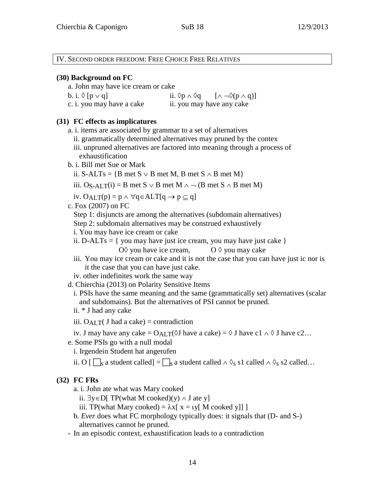IV. SECOND ORDER FREEDOM: FREE CHOICE FREE RELATIVES **(30) Background on FC** a. John may have ice cream or cake b. i.  $\Diamond$  [p  $\lor$  q] ii.  $\Diamond$ p  $\land$   $\Diamond$ q [ $\land \neg \Diamond$ (p  $\land$  q)] c. i. you may have a cake ii. you may have any cake **(31) FC effects as implicatures** a. i. items are associated by grammar to a set of alternatives ii. grammatically determined alternatives may pruned by the contex iii. unpruned alternatives are factored into meaning through a process of exhaustification b. i. Bill met Sue or Mark ii. S-ALTs = {B met S  $\vee$  B met M, B met S  $\wedge$  B met M} iii. O<sub>S-ALT</sub>(i) = B met S ∨ B met M ∧ → (B met S ∧ B met M) iv. O<sub>ALT</sub> $(p) = p \land \forall q \in ALT[q \rightarrow p \subseteq q]$ c. Fox (2007) on FC Step 1: disjuncts are among the alternatives (subdomain alternatives) Step 2: subdomain alternatives may be construed exhaustively i. You may have ice cream or cake ii. D-ALTs =  $\{$  you may have just ice cream, you may have just cake  $\}$ O  $\Diamond$  you have ice cream,  $\Diamond$   $\Diamond$  you may cake iii. You may ice cream or cake and it is not the case that you can have just ic nor is it the case that you can have just cake. iv. other indefinites work the same way d. Chierchia (2013) on Polarity Sensitive Items i. PSIs have the same meaning and the same (grammatically set) alternatives (scalar and subdomains). But the alternatives of PSI cannot be pruned. ii. \* J had any cake iii.  $O_{ALT}($  J had a cake) = contradiction iv. J may have any cake =  $O_{ALT}(\Diamond J)$  have a cake) =  $\Diamond J$  have c1  $\land \Diamond J$  have c2... e. Some PSIs go with a null modal i. Irgendein Student hat angerufen ii. O  $\lceil \bigcap_{s}$  a student called  $\rceil = \bigcap_{s}$  a student called ∧  $\lozenge_s$  s1 called ∧  $\lozenge_s$  s2 called… **(32) FC FRs**

a. i. John ate what was Mary cooked

ii.  $∃y∈D[TP(what M cooled)(y) ∧ J ate y]$ 

iii. TP(what Mary cooked) =  $\lambda x$ [ x = ιy[ M cooked y]]]

- b. *Ever* does what FC morphology typically does: it signals that (D- and S-) alternatives cannot be pruned.
- In an episodic context, exhaustification leads to a contradiction